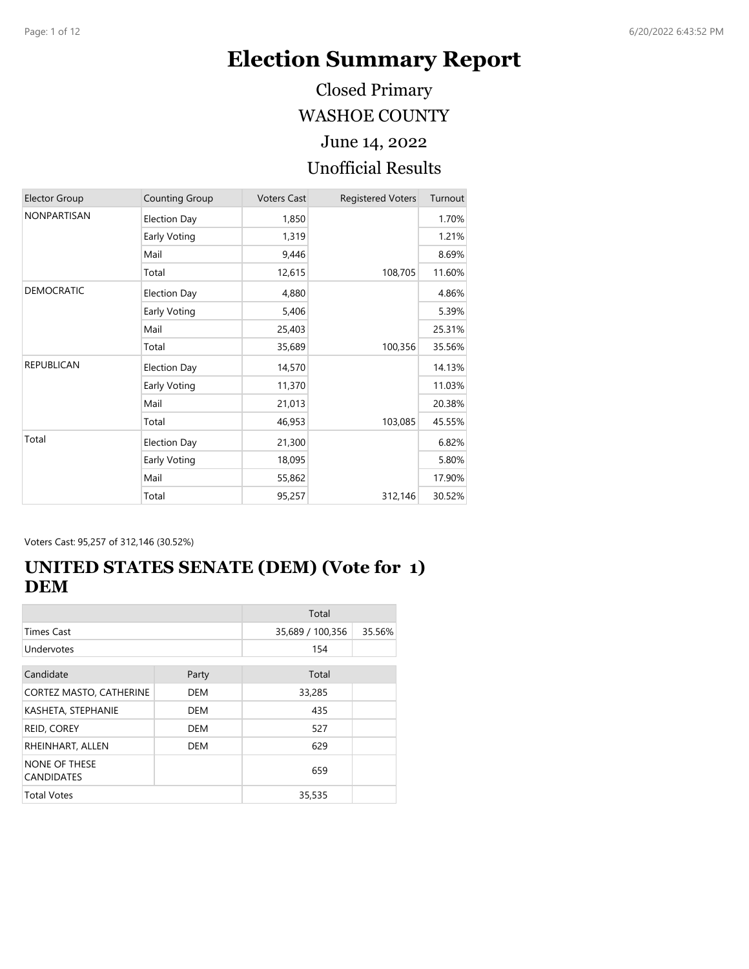# **Election Summary Report**

WASHOE COUNTY Closed Primary

June 14, 2022

#### Unofficial Results

| <b>Elector Group</b> | Counting Group      | <b>Voters Cast</b> | <b>Registered Voters</b> | Turnout |
|----------------------|---------------------|--------------------|--------------------------|---------|
| <b>NONPARTISAN</b>   | <b>Election Day</b> | 1,850              |                          | 1.70%   |
|                      | Early Voting        | 1,319              |                          | 1.21%   |
|                      | Mail                | 9,446              |                          | 8.69%   |
|                      | Total               | 12,615             | 108,705                  | 11.60%  |
| <b>DEMOCRATIC</b>    | <b>Election Day</b> | 4,880              |                          | 4.86%   |
|                      | Early Voting        | 5,406              |                          | 5.39%   |
|                      | Mail                | 25,403             |                          | 25.31%  |
|                      | Total               | 35,689             | 100,356                  | 35.56%  |
| <b>REPUBLICAN</b>    | <b>Election Day</b> | 14,570             |                          | 14.13%  |
|                      | Early Voting        | 11,370             |                          | 11.03%  |
|                      | Mail                | 21,013             |                          | 20.38%  |
|                      | Total               | 46,953             | 103,085                  | 45.55%  |
| Total                | <b>Election Day</b> | 21,300             |                          | 6.82%   |
|                      | Early Voting        | 18,095             |                          | 5.80%   |
|                      | Mail                | 55,862             |                          | 17.90%  |
|                      | Total               | 95,257             | 312,146                  | 30.52%  |

Voters Cast: 95,257 of 312,146 (30.52%)

## **UNITED STATES SENATE (DEM) (Vote for 1) DEM**

|                                           |            | Total            |        |
|-------------------------------------------|------------|------------------|--------|
| <b>Times Cast</b>                         |            | 35,689 / 100,356 | 35.56% |
| Undervotes                                |            | 154              |        |
| Candidate                                 | Party      | Total            |        |
| CORTEZ MASTO, CATHERINE                   | <b>DEM</b> | 33,285           |        |
| KASHETA, STEPHANIE                        | DEM        | 435              |        |
| REID, COREY                               | DEM        | 527              |        |
| RHEINHART, ALLEN                          | <b>DEM</b> | 629              |        |
| <b>NONE OF THESE</b><br><b>CANDIDATES</b> |            | 659              |        |
| <b>Total Votes</b>                        |            | 35,535           |        |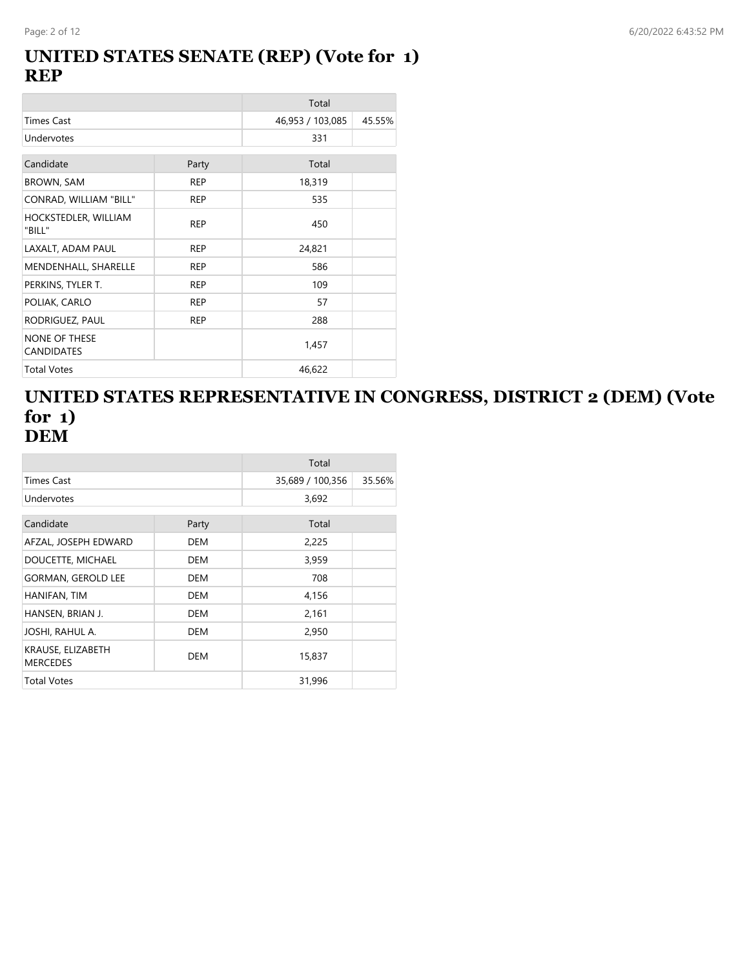#### **UNITED STATES SENATE (REP) (Vote for 1) REP**

|                                           |            | Total            |        |
|-------------------------------------------|------------|------------------|--------|
| Times Cast                                |            | 46,953 / 103,085 | 45.55% |
| Undervotes                                |            | 331              |        |
| Candidate                                 | Party      | Total            |        |
| <b>BROWN, SAM</b>                         | <b>REP</b> | 18,319           |        |
| CONRAD, WILLIAM "BILL"                    | <b>REP</b> | 535              |        |
| HOCKSTEDLER, WILLIAM<br>"BILL"            | <b>REP</b> | 450              |        |
| LAXALT, ADAM PAUL                         | <b>REP</b> | 24,821           |        |
| MENDENHALL, SHARELLE                      | <b>REP</b> | 586              |        |
| PERKINS, TYLER T.                         | <b>REP</b> | 109              |        |
| POLIAK, CARLO                             | <b>REP</b> | 57               |        |
| RODRIGUEZ, PAUL                           | <b>REP</b> | 288              |        |
| <b>NONE OF THESE</b><br><b>CANDIDATES</b> |            | 1,457            |        |
| <b>Total Votes</b>                        |            | 46,622           |        |

#### **UNITED STATES REPRESENTATIVE IN CONGRESS, DISTRICT 2 (DEM) (Vote for 1) DEM**

|                                      |            | Total            |        |
|--------------------------------------|------------|------------------|--------|
| Times Cast                           |            | 35,689 / 100,356 | 35.56% |
| Undervotes                           |            | 3,692            |        |
| Candidate                            | Party      | Total            |        |
| AFZAL, JOSEPH EDWARD                 | DEM        | 2,225            |        |
| DOUCETTE, MICHAEL                    | DEM        | 3,959            |        |
| <b>GORMAN, GEROLD LEE</b>            | DEM        | 708              |        |
| HANIFAN, TIM                         | <b>DEM</b> | 4,156            |        |
| HANSEN, BRIAN J.                     | <b>DEM</b> | 2,161            |        |
| JOSHI, RAHUL A.                      | <b>DEM</b> | 2,950            |        |
| KRAUSE, ELIZABETH<br><b>MERCEDES</b> | <b>DEM</b> | 15,837           |        |
| <b>Total Votes</b>                   |            | 31,996           |        |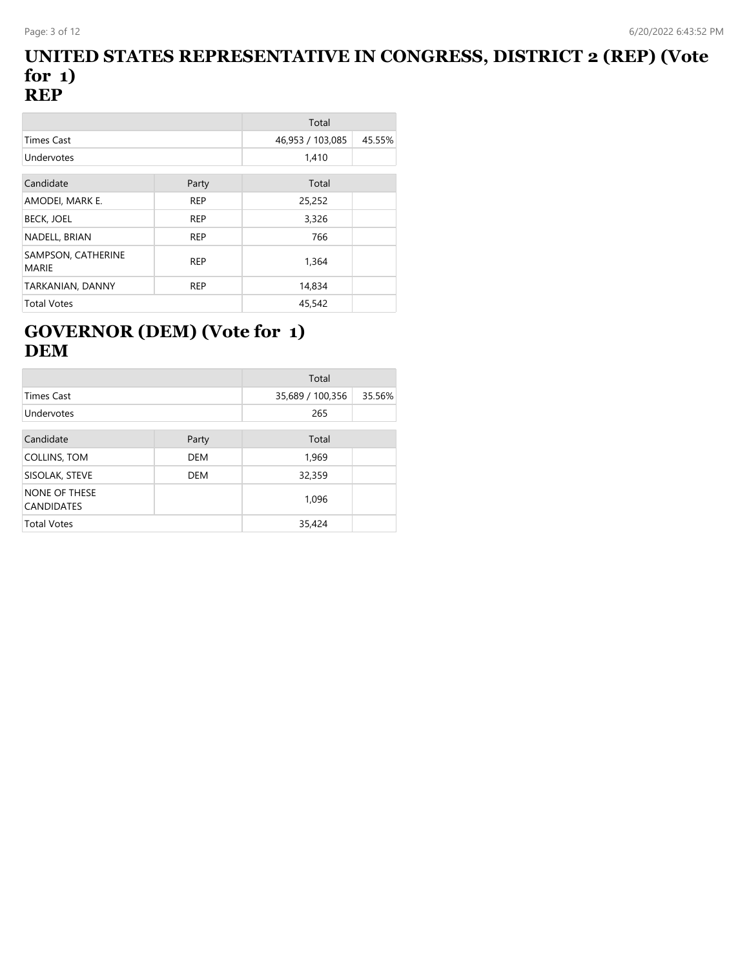#### **UNITED STATES REPRESENTATIVE IN CONGRESS, DISTRICT 2 (REP) (Vote for 1) REP**

|                                    |            | Total            |        |
|------------------------------------|------------|------------------|--------|
| <b>Times Cast</b>                  |            | 46,953 / 103,085 | 45.55% |
| <b>Undervotes</b>                  |            | 1,410            |        |
| Candidate                          | Party      | Total            |        |
| AMODEI, MARK E.                    | <b>REP</b> | 25,252           |        |
| <b>BECK, JOEL</b>                  | <b>REP</b> | 3,326            |        |
| NADELL, BRIAN                      | <b>REP</b> | 766              |        |
| SAMPSON, CATHERINE<br><b>MARIE</b> | <b>REP</b> | 1,364            |        |
| TARKANIAN, DANNY                   | <b>REP</b> | 14,834           |        |
| <b>Total Votes</b>                 |            | 45,542           |        |

## **GOVERNOR (DEM) (Vote for 1) DEM**

|                                           |            | Total            |        |
|-------------------------------------------|------------|------------------|--------|
| <b>Times Cast</b>                         |            | 35,689 / 100,356 | 35.56% |
| Undervotes                                |            | 265              |        |
| Candidate                                 | Party      | Total            |        |
| COLLINS, TOM                              | <b>DEM</b> | 1,969            |        |
| SISOLAK, STEVE                            | <b>DEM</b> | 32,359           |        |
| <b>NONE OF THESE</b><br><b>CANDIDATES</b> |            | 1,096            |        |
| <b>Total Votes</b>                        |            | 35,424           |        |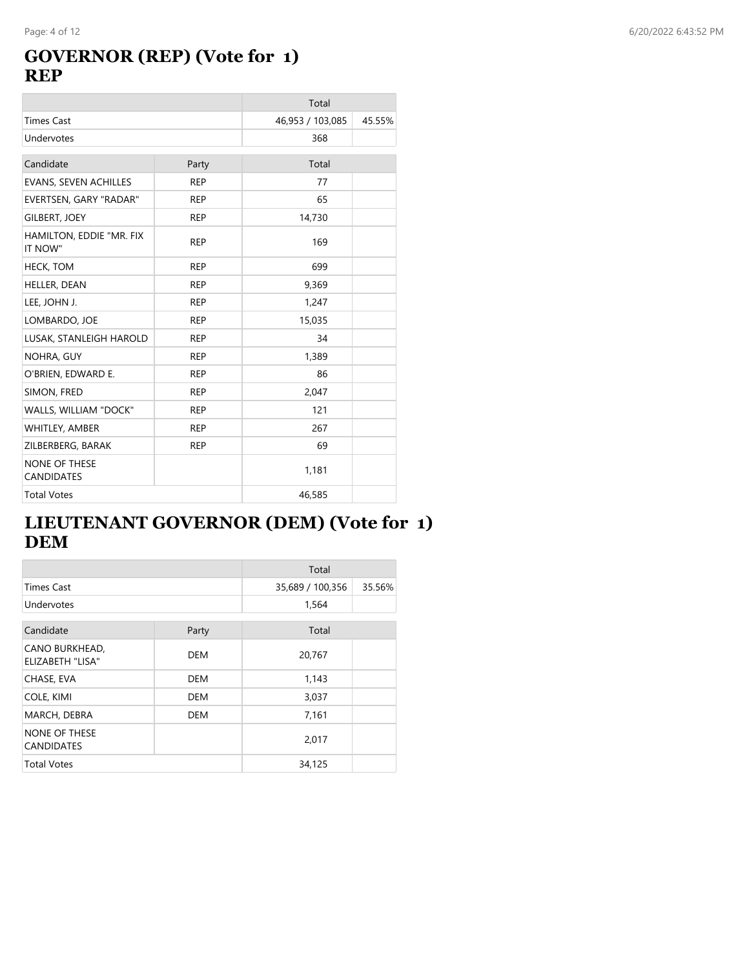## **GOVERNOR (REP) (Vote for 1) REP**

|                                           |            | Total            |        |
|-------------------------------------------|------------|------------------|--------|
| <b>Times Cast</b>                         |            | 46,953 / 103,085 | 45.55% |
| Undervotes                                |            | 368              |        |
| Candidate                                 | Party      | Total            |        |
| EVANS, SEVEN ACHILLES                     | <b>REP</b> | 77               |        |
| EVERTSEN, GARY "RADAR"                    | <b>REP</b> | 65               |        |
| <b>GILBERT, JOEY</b>                      | <b>REP</b> | 14,730           |        |
| HAMILTON, EDDIE "MR. FIX<br>IT NOW"       | <b>REP</b> | 169              |        |
| <b>HECK, TOM</b>                          | <b>REP</b> | 699              |        |
| HELLER, DEAN                              | <b>REP</b> | 9,369            |        |
| LEE, JOHN J.                              | <b>REP</b> | 1,247            |        |
| LOMBARDO, JOE                             | <b>REP</b> | 15,035           |        |
| LUSAK, STANLEIGH HAROLD                   | <b>REP</b> | 34               |        |
| NOHRA, GUY                                | <b>REP</b> | 1,389            |        |
| O'BRIEN, EDWARD E.                        | <b>REP</b> | 86               |        |
| SIMON, FRED                               | <b>REP</b> | 2,047            |        |
| WALLS, WILLIAM "DOCK"                     | <b>REP</b> | 121              |        |
| WHITLEY, AMBER                            | <b>REP</b> | 267              |        |
| ZILBERBERG, BARAK                         | <b>REP</b> | 69               |        |
| <b>NONE OF THESE</b><br><b>CANDIDATES</b> |            | 1,181            |        |
| <b>Total Votes</b>                        |            | 46,585           |        |

# **LIEUTENANT GOVERNOR (DEM) (Vote for 1) DEM**

|                                    |            | Total            |        |
|------------------------------------|------------|------------------|--------|
| <b>Times Cast</b>                  |            | 35,689 / 100,356 | 35.56% |
| Undervotes                         |            | 1,564            |        |
|                                    |            |                  |        |
| Candidate                          | Party      | Total            |        |
| CANO BURKHEAD,<br>ELIZABETH "LISA" | <b>DEM</b> | 20,767           |        |
| CHASE, EVA                         | <b>DEM</b> | 1,143            |        |
| COLE, KIMI                         | <b>DEM</b> | 3,037            |        |
| MARCH, DEBRA                       | DEM        | 7,161            |        |
| NONE OF THESE<br><b>CANDIDATES</b> |            | 2,017            |        |
| <b>Total Votes</b>                 |            | 34,125           |        |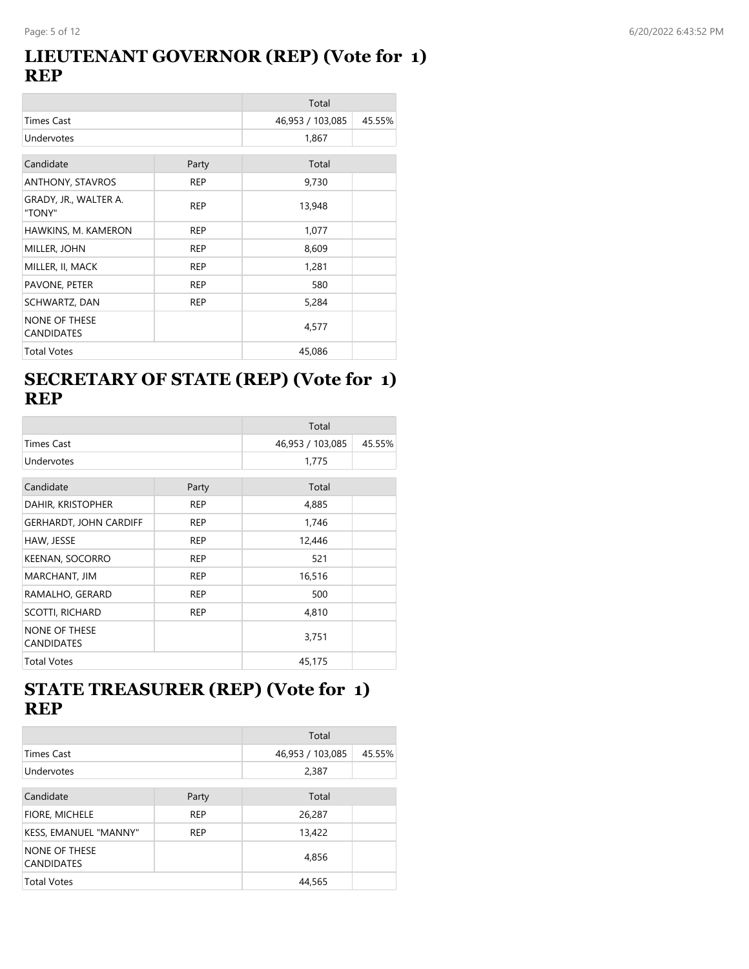#### **LIEUTENANT GOVERNOR (REP) (Vote for 1) REP**

|                                           |            | Total            |        |
|-------------------------------------------|------------|------------------|--------|
| Times Cast                                |            | 46,953 / 103,085 | 45.55% |
| Undervotes                                |            | 1,867            |        |
| Candidate                                 | Party      | Total            |        |
| ANTHONY, STAVROS                          | <b>REP</b> | 9,730            |        |
| GRADY, JR., WALTER A.<br>"TONY"           | <b>REP</b> | 13,948           |        |
| HAWKINS, M. KAMERON                       | <b>REP</b> | 1,077            |        |
| MILLER, JOHN                              | <b>REP</b> | 8,609            |        |
| MILLER, II, MACK                          | <b>REP</b> | 1,281            |        |
| PAVONE, PETER                             | <b>REP</b> | 580              |        |
| SCHWARTZ, DAN                             | <b>REP</b> | 5,284            |        |
| <b>NONE OF THESE</b><br><b>CANDIDATES</b> |            | 4,577            |        |
| <b>Total Votes</b>                        |            | 45,086           |        |

## **SECRETARY OF STATE (REP) (Vote for 1) REP**

|                                           |            | Total            |        |
|-------------------------------------------|------------|------------------|--------|
| <b>Times Cast</b>                         |            | 46,953 / 103,085 | 45.55% |
| Undervotes                                |            | 1,775            |        |
| Candidate                                 | Party      | Total            |        |
| DAHIR, KRISTOPHER                         | <b>REP</b> | 4,885            |        |
| <b>GERHARDT, JOHN CARDIFF</b>             | <b>REP</b> | 1,746            |        |
| HAW, JESSE                                | <b>REP</b> | 12,446           |        |
| <b>KEENAN, SOCORRO</b>                    | <b>REP</b> | 521              |        |
| MARCHANT, JIM                             | <b>REP</b> | 16,516           |        |
| RAMALHO, GERARD                           | <b>REP</b> | 500              |        |
| SCOTTI, RICHARD                           | <b>REP</b> | 4,810            |        |
| <b>NONE OF THESE</b><br><b>CANDIDATES</b> |            | 3,751            |        |
| <b>Total Votes</b>                        |            | 45,175           |        |

# **STATE TREASURER (REP) (Vote for 1) REP**

|                                           |            | Total            |        |
|-------------------------------------------|------------|------------------|--------|
| <b>Times Cast</b>                         |            | 46,953 / 103,085 | 45.55% |
| Undervotes                                |            | 2,387            |        |
|                                           |            |                  |        |
| Candidate                                 | Party      | Total            |        |
| FIORE, MICHELE                            | <b>REP</b> | 26,287           |        |
| KESS, EMANUEL "MANNY"                     | <b>REP</b> | 13,422           |        |
| <b>NONE OF THESE</b><br><b>CANDIDATES</b> |            | 4,856            |        |
| <b>Total Votes</b>                        |            | 44,565           |        |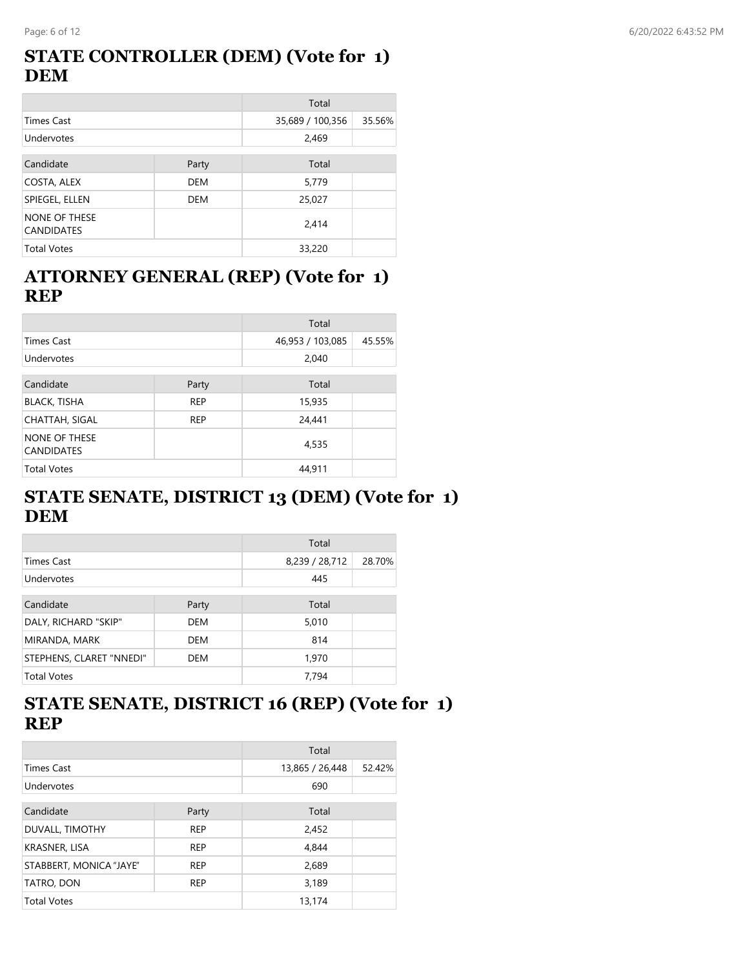## **STATE CONTROLLER (DEM) (Vote for 1) DEM**

|                                    |            | Total            |        |
|------------------------------------|------------|------------------|--------|
| <b>Times Cast</b>                  |            | 35,689 / 100,356 | 35.56% |
| Undervotes                         |            | 2,469            |        |
| Candidate                          | Party      | Total            |        |
| COSTA, ALEX                        | <b>DEM</b> | 5,779            |        |
| SPIEGEL, ELLEN                     | DEM        | 25,027           |        |
| NONE OF THESE<br><b>CANDIDATES</b> |            | 2,414            |        |
| <b>Total Votes</b>                 |            | 33,220           |        |

## **ATTORNEY GENERAL (REP) (Vote for 1) REP**

|                                           |            | Total            |        |
|-------------------------------------------|------------|------------------|--------|
| <b>Times Cast</b>                         |            | 46,953 / 103,085 | 45.55% |
| Undervotes                                |            | 2,040            |        |
| Candidate                                 | Party      | Total            |        |
| <b>BLACK, TISHA</b>                       | <b>REP</b> | 15,935           |        |
| CHATTAH, SIGAL                            | <b>REP</b> | 24,441           |        |
| <b>NONE OF THESE</b><br><b>CANDIDATES</b> |            | 4,535            |        |
| <b>Total Votes</b>                        |            | 44,911           |        |

# **STATE SENATE, DISTRICT 13 (DEM) (Vote for 1) DEM**

|                          |            | Total          |        |
|--------------------------|------------|----------------|--------|
| <b>Times Cast</b>        |            | 8,239 / 28,712 | 28.70% |
| Undervotes               |            | 445            |        |
|                          |            |                |        |
| Candidate                | Party      | Total          |        |
| DALY, RICHARD "SKIP"     | <b>DEM</b> | 5,010          |        |
| MIRANDA, MARK            | <b>DEM</b> | 814            |        |
| STEPHENS, CLARET "NNEDI" | <b>DEM</b> | 1,970          |        |
| <b>Total Votes</b>       |            | 7,794          |        |

# **STATE SENATE, DISTRICT 16 (REP) (Vote for 1) REP**

|                         |            | Total           |        |
|-------------------------|------------|-----------------|--------|
| <b>Times Cast</b>       |            | 13,865 / 26,448 | 52.42% |
| Undervotes              |            | 690             |        |
| Candidate               | Party      | Total           |        |
| DUVALL, TIMOTHY         | <b>REP</b> | 2,452           |        |
| KRASNER, LISA           | <b>REP</b> | 4,844           |        |
| STABBERT, MONICA "JAYE" | <b>REP</b> | 2,689           |        |
| TATRO, DON              | <b>REP</b> | 3,189           |        |
| <b>Total Votes</b>      |            | 13,174          |        |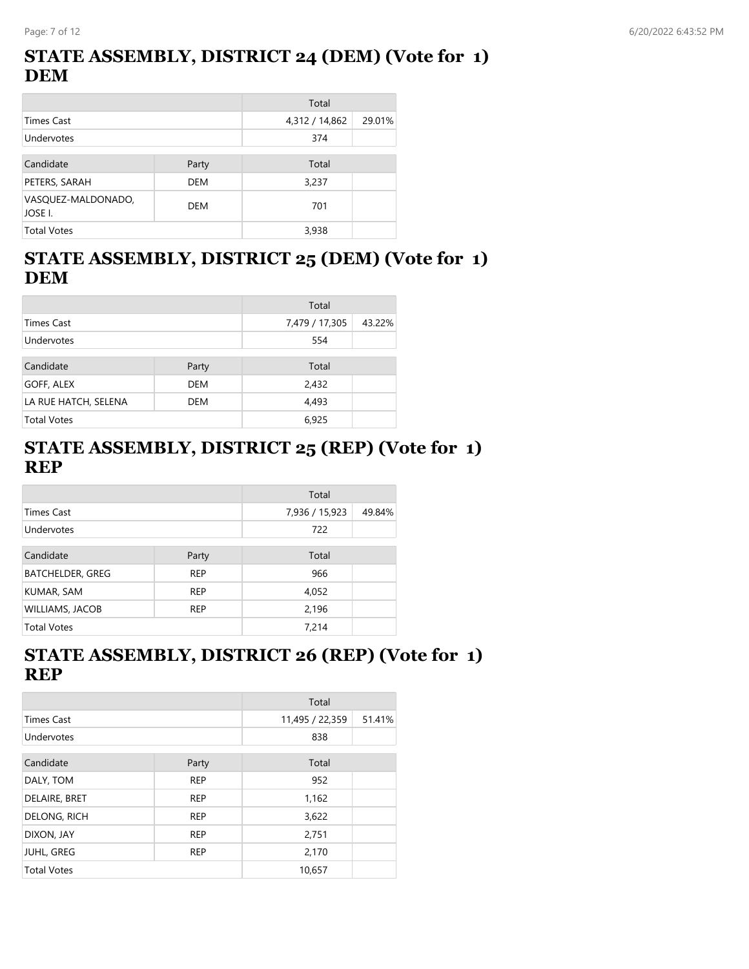## **STATE ASSEMBLY, DISTRICT 24 (DEM) (Vote for 1) DEM**

|                               |            | Total          |        |
|-------------------------------|------------|----------------|--------|
| Times Cast                    |            | 4,312 / 14,862 | 29.01% |
| Undervotes                    |            | 374            |        |
|                               |            |                |        |
| Candidate                     | Party      | Total          |        |
| PETERS, SARAH                 | <b>DEM</b> | 3,237          |        |
| VASQUEZ-MALDONADO,<br>JOSE I. | DEM        | 701            |        |
| <b>Total Votes</b>            |            | 3,938          |        |

# **STATE ASSEMBLY, DISTRICT 25 (DEM) (Vote for 1) DEM**

|                      |       | Total          |        |
|----------------------|-------|----------------|--------|
| <b>Times Cast</b>    |       | 7,479 / 17,305 | 43.22% |
| Undervotes           |       | 554            |        |
| Candidate            | Party | Total          |        |
| GOFF, ALEX           | DEM   | 2,432          |        |
| LA RUE HATCH, SELENA | DEM   | 4,493          |        |
| <b>Total Votes</b>   |       | 6,925          |        |

## **STATE ASSEMBLY, DISTRICT 25 (REP) (Vote for 1) REP**

|                         |            | Total          |        |
|-------------------------|------------|----------------|--------|
| Times Cast              |            | 7,936 / 15,923 | 49.84% |
| Undervotes              |            | 722            |        |
| Candidate               | Party      | Total          |        |
| <b>BATCHELDER, GREG</b> | <b>REP</b> | 966            |        |
| KUMAR, SAM              | <b>REP</b> | 4,052          |        |
| <b>WILLIAMS, JACOB</b>  | <b>REP</b> | 2,196          |        |
| <b>Total Votes</b>      |            | 7,214          |        |

# **STATE ASSEMBLY, DISTRICT 26 (REP) (Vote for 1) REP**

|                    |            | Total           |        |
|--------------------|------------|-----------------|--------|
| <b>Times Cast</b>  |            | 11,495 / 22,359 | 51.41% |
| Undervotes         |            | 838             |        |
| Candidate          | Party      | Total           |        |
| DALY, TOM          | <b>REP</b> | 952             |        |
| DELAIRE, BRET      | <b>REP</b> | 1,162           |        |
| DELONG, RICH       | <b>REP</b> | 3,622           |        |
| DIXON, JAY         | <b>REP</b> | 2,751           |        |
| <b>JUHL, GREG</b>  | <b>REP</b> | 2,170           |        |
| <b>Total Votes</b> |            | 10,657          |        |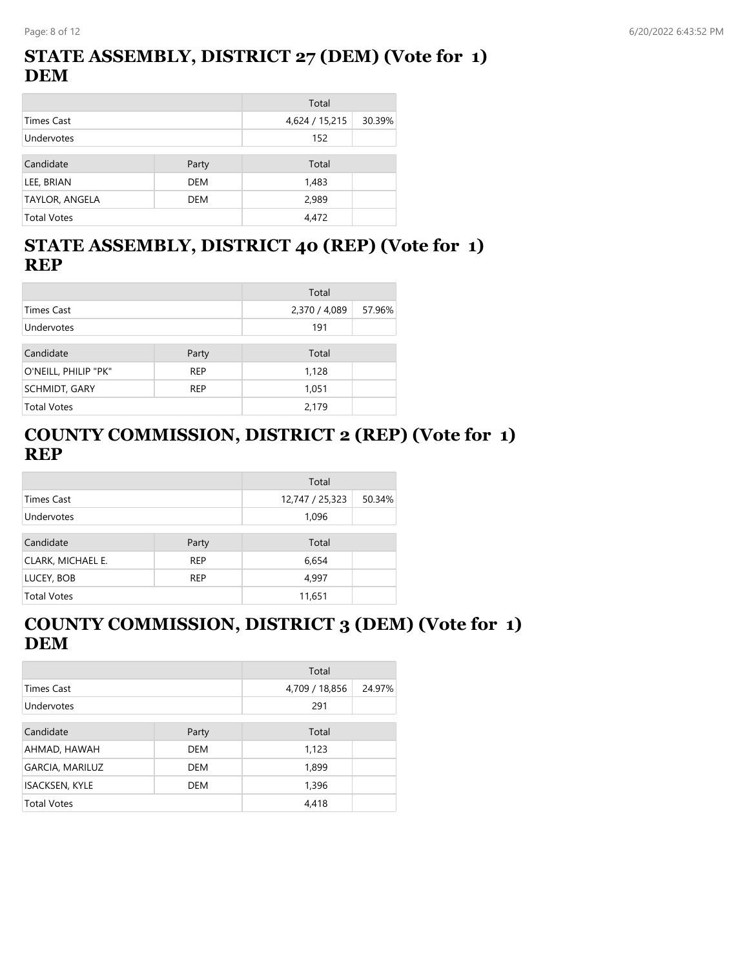## **STATE ASSEMBLY, DISTRICT 27 (DEM) (Vote for 1) DEM**

|                       |            | Total          |        |
|-----------------------|------------|----------------|--------|
| Times Cast            |            | 4,624 / 15,215 | 30.39% |
| Undervotes            |            | 152            |        |
| Candidate             | Party      | Total          |        |
| LEE, BRIAN            | <b>DEM</b> | 1,483          |        |
| <b>TAYLOR, ANGELA</b> | <b>DEM</b> | 2,989          |        |
| <b>Total Votes</b>    |            | 4.472          |        |

# **STATE ASSEMBLY, DISTRICT 40 (REP) (Vote for 1) REP**

|                      |            | Total         |        |
|----------------------|------------|---------------|--------|
| Times Cast           |            | 2,370 / 4,089 | 57.96% |
| Undervotes           |            | 191           |        |
| Candidate            | Party      | Total         |        |
| O'NEILL, PHILIP "PK" | <b>REP</b> | 1,128         |        |
| <b>SCHMIDT, GARY</b> | <b>REP</b> | 1,051         |        |
| <b>Total Votes</b>   |            | 2,179         |        |

## **COUNTY COMMISSION, DISTRICT 2 (REP) (Vote for 1) REP**

|                    |            | Total           |        |
|--------------------|------------|-----------------|--------|
| <b>Times Cast</b>  |            | 12,747 / 25,323 | 50.34% |
| Undervotes         |            | 1,096           |        |
|                    |            |                 |        |
| Candidate          | Party      | Total           |        |
| CLARK, MICHAEL E.  | <b>REP</b> | 6,654           |        |
| LUCEY, BOB         | <b>REP</b> | 4,997           |        |
| <b>Total Votes</b> |            | 11,651          |        |

# **COUNTY COMMISSION, DISTRICT 3 (DEM) (Vote for 1) DEM**

|                        |            | Total          |        |
|------------------------|------------|----------------|--------|
| <b>Times Cast</b>      |            | 4,709 / 18,856 | 24.97% |
| Undervotes             |            | 291            |        |
|                        |            |                |        |
| Candidate              | Party      | Total          |        |
| AHMAD, HAWAH           | <b>DEM</b> | 1,123          |        |
| <b>GARCIA, MARILUZ</b> | <b>DEM</b> | 1,899          |        |
| <b>ISACKSEN, KYLE</b>  | DEM        | 1,396          |        |
| <b>Total Votes</b>     |            | 4,418          |        |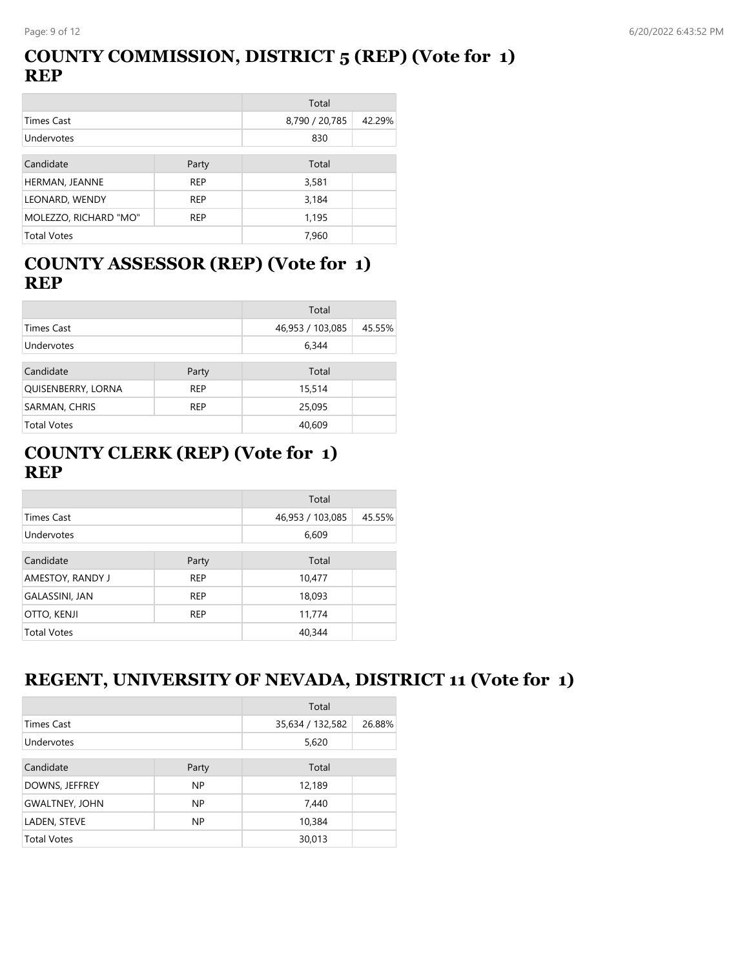## **COUNTY COMMISSION, DISTRICT 5 (REP) (Vote for 1) REP**

|                       |            | Total          |        |
|-----------------------|------------|----------------|--------|
| <b>Times Cast</b>     |            | 8,790 / 20,785 | 42.29% |
| Undervotes            |            | 830            |        |
| Candidate             | Party      | Total          |        |
| HERMAN, JEANNE        | <b>REP</b> | 3,581          |        |
| LEONARD, WENDY        | <b>REP</b> | 3,184          |        |
| MOLEZZO, RICHARD "MO" | <b>REP</b> | 1,195          |        |
| <b>Total Votes</b>    |            | 7,960          |        |

## **COUNTY ASSESSOR (REP) (Vote for 1) REP**

|                    |            | Total            |        |
|--------------------|------------|------------------|--------|
| <b>Times Cast</b>  |            | 46,953 / 103,085 | 45.55% |
| Undervotes         |            | 6,344            |        |
| Candidate          | Party      | Total            |        |
| QUISENBERRY, LORNA | <b>REP</b> | 15,514           |        |
| SARMAN, CHRIS      | <b>REP</b> | 25,095           |        |
| <b>Total Votes</b> |            | 40,609           |        |

## **COUNTY CLERK (REP) (Vote for 1) REP**

|                    |            | Total            |        |
|--------------------|------------|------------------|--------|
| <b>Times Cast</b>  |            | 46,953 / 103,085 | 45.55% |
| Undervotes         |            | 6,609            |        |
|                    |            |                  |        |
| Candidate          | Party      | Total            |        |
| AMESTOY, RANDY J   | <b>REP</b> | 10,477           |        |
| GALASSINI, JAN     | <b>REP</b> | 18,093           |        |
| OTTO, KENJI        | <b>REP</b> | 11,774           |        |
| <b>Total Votes</b> |            | 40,344           |        |

# **REGENT, UNIVERSITY OF NEVADA, DISTRICT 11 (Vote for 1)**

|                       |           | Total            |        |
|-----------------------|-----------|------------------|--------|
| Times Cast            |           | 35,634 / 132,582 | 26.88% |
| Undervotes            |           | 5,620            |        |
|                       |           |                  |        |
| Candidate             | Party     | Total            |        |
| DOWNS, JEFFREY        | <b>NP</b> | 12,189           |        |
| <b>GWALTNEY, JOHN</b> | <b>NP</b> | 7,440            |        |
| LADEN, STEVE          | <b>NP</b> | 10,384           |        |
| <b>Total Votes</b>    |           | 30,013           |        |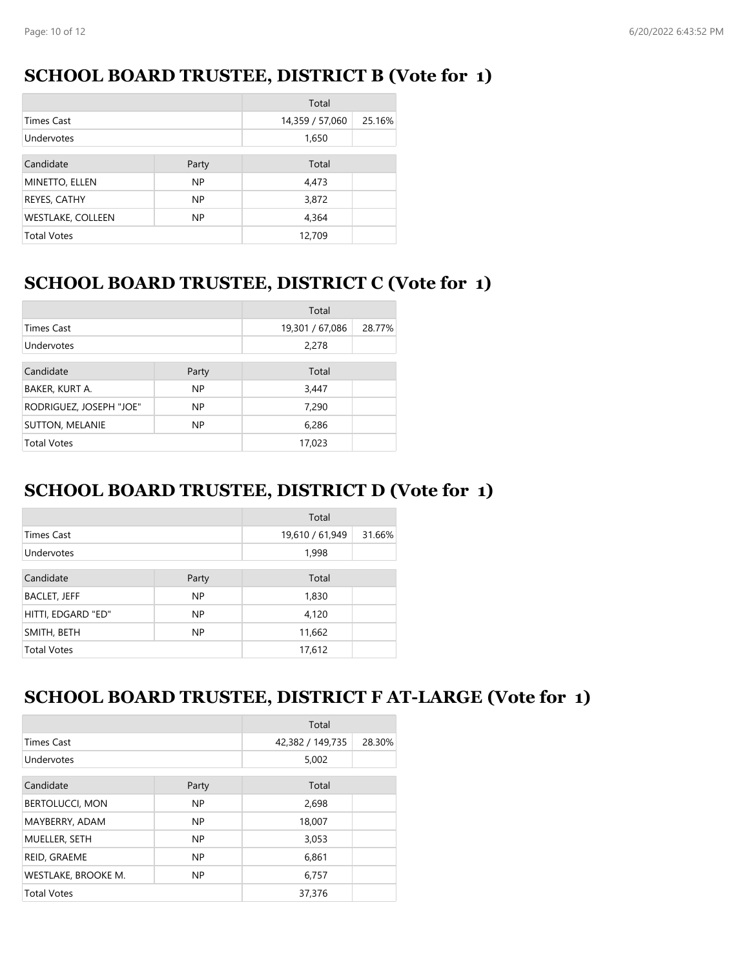## **SCHOOL BOARD TRUSTEE, DISTRICT B (Vote for 1)**

|                          |           | Total           |        |
|--------------------------|-----------|-----------------|--------|
| <b>Times Cast</b>        |           | 14,359 / 57,060 | 25.16% |
| Undervotes               |           | 1,650           |        |
| Candidate                | Party     | Total           |        |
| MINETTO, ELLEN           | <b>NP</b> | 4,473           |        |
| REYES, CATHY             | <b>NP</b> | 3,872           |        |
| <b>WESTLAKE, COLLEEN</b> | <b>NP</b> | 4,364           |        |
| <b>Total Votes</b>       |           | 12,709          |        |

## **SCHOOL BOARD TRUSTEE, DISTRICT C (Vote for 1)**

|                         |           | Total           |        |
|-------------------------|-----------|-----------------|--------|
| <b>Times Cast</b>       |           | 19,301 / 67,086 | 28.77% |
| <b>Undervotes</b>       |           | 2,278           |        |
| Candidate               | Party     | Total           |        |
| BAKER, KURT A.          | <b>NP</b> | 3,447           |        |
| RODRIGUEZ, JOSEPH "JOE" | <b>NP</b> | 7,290           |        |
| <b>SUTTON, MELANIE</b>  | <b>NP</b> | 6,286           |        |
| <b>Total Votes</b>      |           | 17,023          |        |

# **SCHOOL BOARD TRUSTEE, DISTRICT D (Vote for 1)**

|                     |           | Total           |        |
|---------------------|-----------|-----------------|--------|
| <b>Times Cast</b>   |           | 19,610 / 61,949 | 31.66% |
| Undervotes          |           | 1,998           |        |
| Candidate           | Party     | Total           |        |
| <b>BACLET, JEFF</b> | NP.       | 1,830           |        |
| HITTI, EDGARD "ED"  | <b>NP</b> | 4,120           |        |
| SMITH, BETH         | <b>NP</b> | 11,662          |        |
| <b>Total Votes</b>  |           | 17,612          |        |

#### **SCHOOL BOARD TRUSTEE, DISTRICT F AT-LARGE (Vote for 1)**

|                        |           | Total            |        |
|------------------------|-----------|------------------|--------|
| <b>Times Cast</b>      |           | 42,382 / 149,735 | 28.30% |
| Undervotes             |           | 5,002            |        |
| Candidate              | Party     | Total            |        |
| <b>BERTOLUCCI, MON</b> | NP        | 2,698            |        |
| MAYBERRY, ADAM         | NP.       | 18,007           |        |
| MUELLER, SETH          | <b>NP</b> | 3,053            |        |
| REID, GRAEME           | <b>NP</b> | 6,861            |        |
| WESTLAKE, BROOKE M.    | NP.       | 6,757            |        |
| <b>Total Votes</b>     |           | 37,376           |        |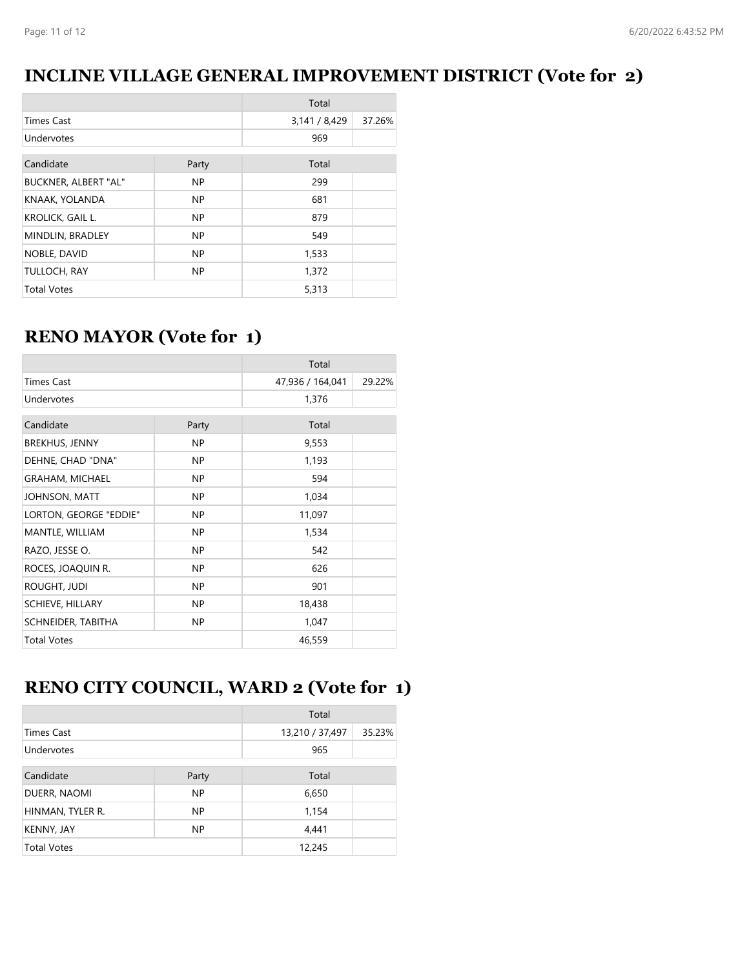## **INCLINE VILLAGE GENERAL IMPROVEMENT DISTRICT (Vote for 2)**

|                      |           | Total         |        |
|----------------------|-----------|---------------|--------|
| <b>Times Cast</b>    |           | 3,141 / 8,429 | 37.26% |
| Undervotes           |           | 969           |        |
| Candidate            | Party     | Total         |        |
| BUCKNER, ALBERT "AL" | <b>NP</b> | 299           |        |
| KNAAK, YOLANDA       | <b>NP</b> | 681           |        |
| KROLICK, GAIL L.     | <b>NP</b> | 879           |        |
| MINDLIN, BRADLEY     | NP        | 549           |        |
| NOBLE, DAVID         | <b>NP</b> | 1,533         |        |
| TULLOCH, RAY         | NP.       | 1,372         |        |
| <b>Total Votes</b>   |           | 5,313         |        |

# **RENO MAYOR (Vote for 1)**

|                         |           | Total            |        |
|-------------------------|-----------|------------------|--------|
| <b>Times Cast</b>       |           | 47,936 / 164,041 | 29.22% |
| Undervotes              |           | 1,376            |        |
| Candidate               | Party     | Total            |        |
| <b>BREKHUS, JENNY</b>   | NP.       | 9,553            |        |
| DEHNE, CHAD "DNA"       | NP.       | 1,193            |        |
| <b>GRAHAM, MICHAEL</b>  | <b>NP</b> | 594              |        |
| JOHNSON, MATT           | NP.       | 1,034            |        |
| LORTON, GEORGE "EDDIE"  | NP.       | 11,097           |        |
| MANTLE, WILLIAM         | NP.       | 1,534            |        |
| RAZO, JESSE O.          | NP.       | 542              |        |
| ROCES, JOAQUIN R.       | NP.       | 626              |        |
| ROUGHT, JUDI            | NP.       | 901              |        |
| <b>SCHIEVE, HILLARY</b> | <b>NP</b> | 18,438           |        |
| SCHNEIDER, TABITHA      | NP.       | 1,047            |        |
| <b>Total Votes</b>      |           | 46,559           |        |

# **RENO CITY COUNCIL, WARD 2 (Vote for 1)**

|                    |           | Total           |        |
|--------------------|-----------|-----------------|--------|
| <b>Times Cast</b>  |           | 13,210 / 37,497 | 35.23% |
| Undervotes         |           | 965             |        |
|                    |           |                 |        |
| Candidate          | Party     | Total           |        |
| DUERR, NAOMI       | <b>NP</b> | 6,650           |        |
| HINMAN, TYLER R.   | <b>NP</b> | 1,154           |        |
| <b>KENNY, JAY</b>  | <b>NP</b> | 4,441           |        |
| <b>Total Votes</b> |           | 12,245          |        |